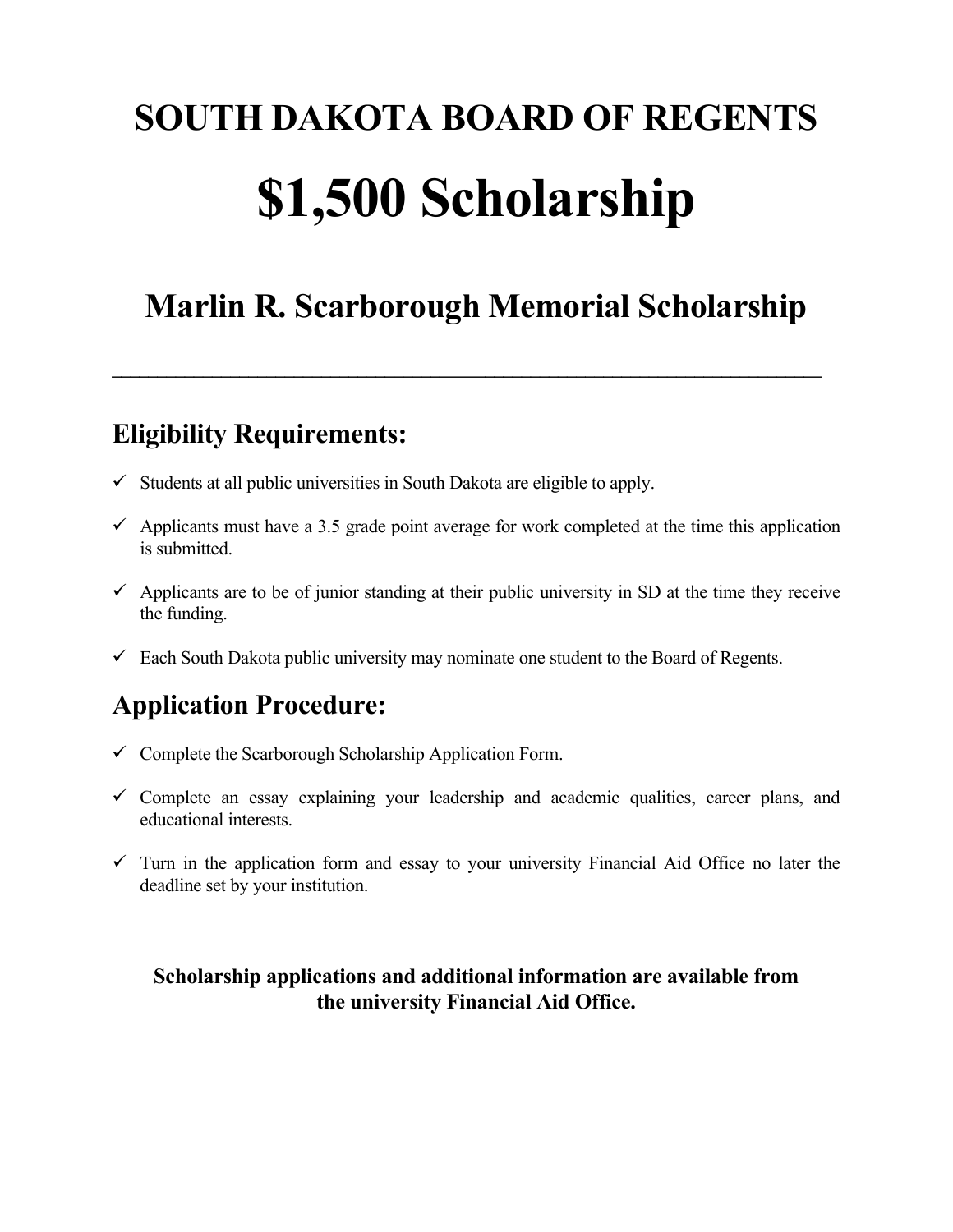# **SOUTH DAKOTA BOARD OF REGENTS \$1,500 Scholarship**

## **Marlin R. Scarborough Memorial Scholarship**

 $\mathcal{L}_\mathcal{L} = \mathcal{L}_\mathcal{L} = \mathcal{L}_\mathcal{L} = \mathcal{L}_\mathcal{L} = \mathcal{L}_\mathcal{L} = \mathcal{L}_\mathcal{L} = \mathcal{L}_\mathcal{L} = \mathcal{L}_\mathcal{L} = \mathcal{L}_\mathcal{L} = \mathcal{L}_\mathcal{L} = \mathcal{L}_\mathcal{L} = \mathcal{L}_\mathcal{L} = \mathcal{L}_\mathcal{L} = \mathcal{L}_\mathcal{L} = \mathcal{L}_\mathcal{L} = \mathcal{L}_\mathcal{L} = \mathcal{L}_\mathcal{L}$ 

## **Eligibility Requirements:**

- $\checkmark$  Students at all public universities in South Dakota are eligible to apply.
- $\checkmark$  Applicants must have a 3.5 grade point average for work completed at the time this application is submitted.
- $\checkmark$  Applicants are to be of junior standing at their public university in SD at the time they receive the funding.
- $\checkmark$  Each South Dakota public university may nominate one student to the Board of Regents.

## **Application Procedure:**

- $\checkmark$  Complete the Scarborough Scholarship Application Form.
- $\checkmark$  Complete an essay explaining your leadership and academic qualities, career plans, and educational interests.
- $\checkmark$  Turn in the application form and essay to your university Financial Aid Office no later the deadline set by your institution.

#### **Scholarship applications and additional information are available from the university Financial Aid Office.**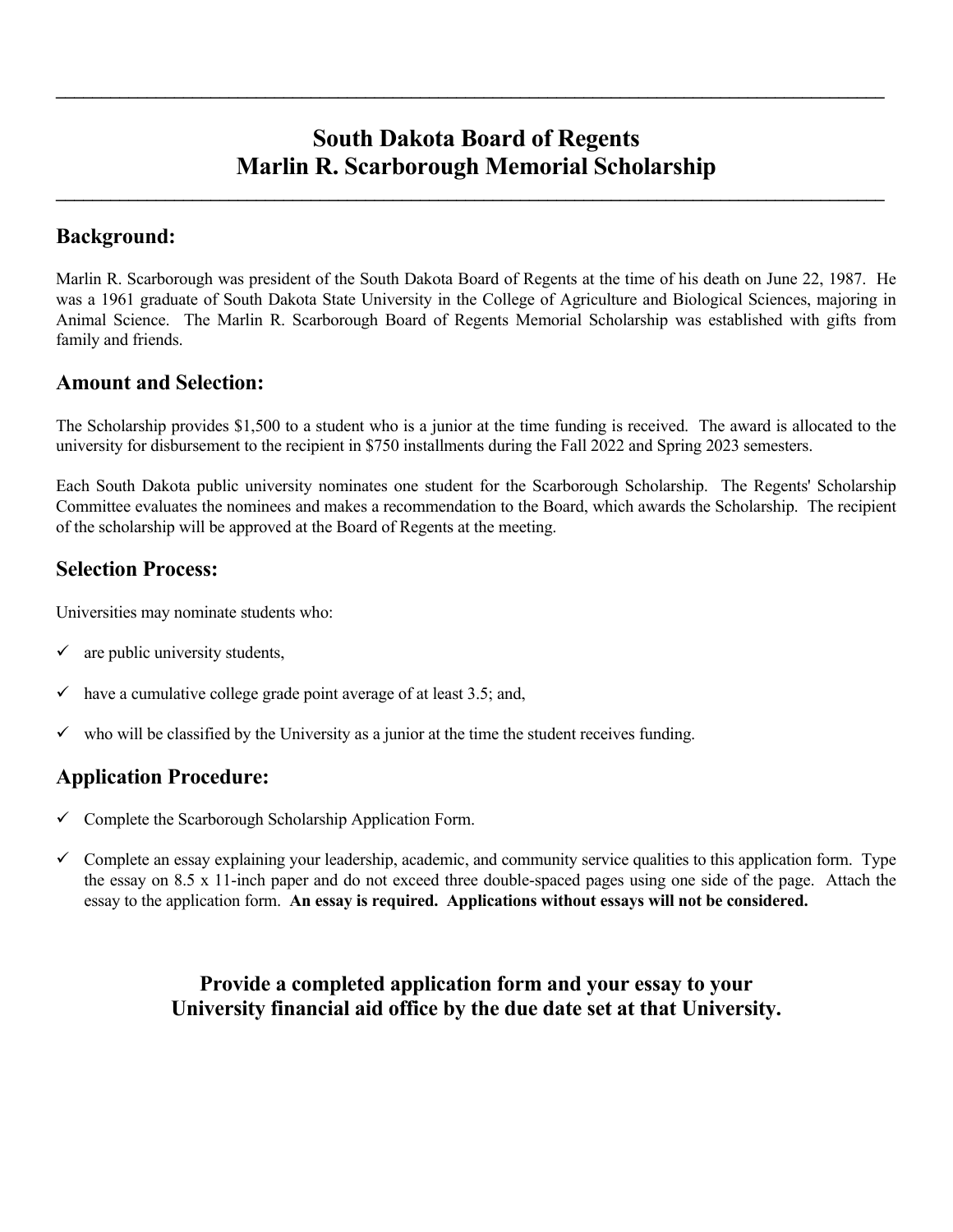### **South Dakota Board of Regents Marlin R. Scarborough Memorial Scholarship**

 $\mathcal{L}_\mathcal{L} = \{ \mathcal{L}_\mathcal{L} = \{ \mathcal{L}_\mathcal{L} = \{ \mathcal{L}_\mathcal{L} = \{ \mathcal{L}_\mathcal{L} = \{ \mathcal{L}_\mathcal{L} = \{ \mathcal{L}_\mathcal{L} = \{ \mathcal{L}_\mathcal{L} = \{ \mathcal{L}_\mathcal{L} = \{ \mathcal{L}_\mathcal{L} = \{ \mathcal{L}_\mathcal{L} = \{ \mathcal{L}_\mathcal{L} = \{ \mathcal{L}_\mathcal{L} = \{ \mathcal{L}_\mathcal{L} = \{ \mathcal{L}_\mathcal{$ 

 $\mathcal{L}_\mathcal{L} = \{ \mathcal{L}_\mathcal{L} = \{ \mathcal{L}_\mathcal{L} = \{ \mathcal{L}_\mathcal{L} = \{ \mathcal{L}_\mathcal{L} = \{ \mathcal{L}_\mathcal{L} = \{ \mathcal{L}_\mathcal{L} = \{ \mathcal{L}_\mathcal{L} = \{ \mathcal{L}_\mathcal{L} = \{ \mathcal{L}_\mathcal{L} = \{ \mathcal{L}_\mathcal{L} = \{ \mathcal{L}_\mathcal{L} = \{ \mathcal{L}_\mathcal{L} = \{ \mathcal{L}_\mathcal{L} = \{ \mathcal{L}_\mathcal{$ 

#### **Background:**

Marlin R. Scarborough was president of the South Dakota Board of Regents at the time of his death on June 22, 1987. He was a 1961 graduate of South Dakota State University in the College of Agriculture and Biological Sciences, majoring in Animal Science. The Marlin R. Scarborough Board of Regents Memorial Scholarship was established with gifts from family and friends.

#### **Amount and Selection:**

The Scholarship provides \$1,500 to a student who is a junior at the time funding is received. The award is allocated to the university for disbursement to the recipient in \$750 installments during the Fall 2022 and Spring 2023 semesters.

Each South Dakota public university nominates one student for the Scarborough Scholarship. The Regents' Scholarship Committee evaluates the nominees and makes a recommendation to the Board, which awards the Scholarship. The recipient of the scholarship will be approved at the Board of Regents at the meeting.

#### **Selection Process:**

Universities may nominate students who:

- $\checkmark$  are public university students,
- $\checkmark$  have a cumulative college grade point average of at least 3.5; and,
- $\checkmark$  who will be classified by the University as a junior at the time the student receives funding.

#### **Application Procedure:**

- $\checkmark$  Complete the Scarborough Scholarship Application Form.
- $\checkmark$  Complete an essay explaining your leadership, academic, and community service qualities to this application form. Type the essay on 8.5 x 11-inch paper and do not exceed three double-spaced pages using one side of the page. Attach the essay to the application form. **An essay is required. Applications without essays will not be considered.**

 **Provide a completed application form and your essay to your University financial aid office by the due date set at that University.**